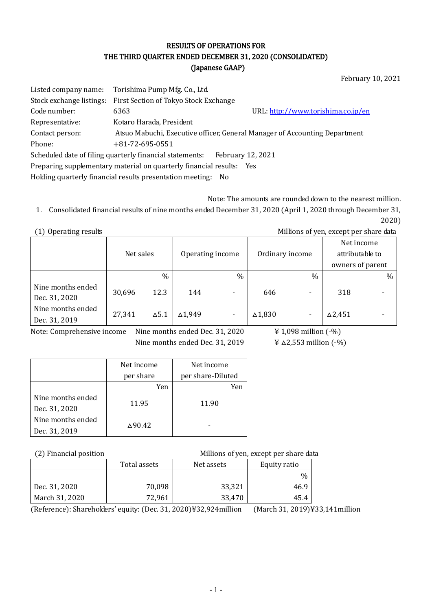#### RESULTS OF OPERATIONS FOR THE THIRD QUARTER ENDED DECEMBER 31, 2020 (CONSOLIDATED) (Japanese GAAP)

February 10, 2021

| Listed company name:                                                 | Torishima Pump Mfg. Co., Ltd.                                              |                                    |  |  |  |
|----------------------------------------------------------------------|----------------------------------------------------------------------------|------------------------------------|--|--|--|
| Stock exchange listings:                                             | First Section of Tokyo Stock Exchange                                      |                                    |  |  |  |
| Code number:                                                         | 6363                                                                       | URL: http://www.torishima.co.jp/en |  |  |  |
| Representative:                                                      | Kotaro Harada, President                                                   |                                    |  |  |  |
| Contact person:                                                      | Atsuo Mabuchi, Executive officer, General Manager of Accounting Department |                                    |  |  |  |
| Phone:                                                               | $+81 - 72 - 695 - 0551$                                                    |                                    |  |  |  |
|                                                                      | Scheduled date of filing quarterly financial statements:                   | February 12, 2021                  |  |  |  |
| Preparing supplementary material on quarterly financial results: Yes |                                                                            |                                    |  |  |  |
| Holding quarterly financial results presentation meeting:<br>- No    |                                                                            |                                    |  |  |  |

Note: The amounts are rounded down to the nearest million.

1. Consolidated financial results of nine months ended December 31, 2020 (April 1, 2020 through December 31, 2020)

(1) Operating results Millions of yen, except per share data

|                                    | Net sales |              | Operating income |                | Ordinary income   |      | Net income<br>attributable to<br>owners of parent |   |
|------------------------------------|-----------|--------------|------------------|----------------|-------------------|------|---------------------------------------------------|---|
|                                    |           | $\%$         |                  | $\%$           |                   | $\%$ |                                                   | % |
| Nine months ended<br>Dec. 31, 2020 | 30,696    | 12.3         | 144              | -              | 646               |      | 318                                               |   |
| Nine months ended<br>Dec. 31, 2019 | 27,341    | $\Delta$ 5.1 | △1,949           | $\blacksquare$ | $\triangle$ 1,830 |      | $\Delta$ 2,451                                    |   |

Note: Comprehensive income Nine months ended Dec. 31, 2020  $\qquad \qquad \text{if } 1,098 \text{ million } (-\%)$ Nine months ended Dec. 31, 2019  $\qquad \qquad \text{if } \Delta 2,553 \text{ million } (-\%)$ 

|                   | Net income     | Net income        |
|-------------------|----------------|-------------------|
|                   | per share      | per share-Diluted |
|                   | Yen            | Yen               |
| Nine months ended | 11.95          | 11.90             |
| Dec. 31, 2020     |                |                   |
| Nine months ended | $\Delta$ 90.42 |                   |
| Dec. 31, 2019     |                |                   |

(2) Financial position Millions of yen, except per share data

|                | Total assets<br>Net assets |        | Equity ratio |
|----------------|----------------------------|--------|--------------|
|                |                            |        | $\%$         |
| Dec. 31, 2020  | 70,098                     | 33,321 | 46.9         |
| March 31, 2020 | 72,961                     | 33,470 | 45.4         |

(Reference): Shareholders' equity: (Dec. 31, 2020)¥32,924million (March 31, 2019)¥33,141million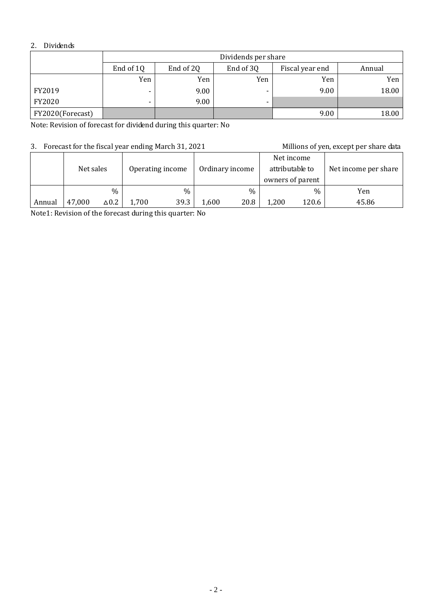#### 2. Dividends

|                  | Dividends per share |                 |                          |      |       |  |  |  |
|------------------|---------------------|-----------------|--------------------------|------|-------|--|--|--|
|                  | End of 1Q           | Fiscal year end | Annual                   |      |       |  |  |  |
|                  | Yen                 | Yen             | Yen                      | Yen  | Yen   |  |  |  |
| FY2019           | -                   | 9.00            |                          | 9.00 | 18.00 |  |  |  |
| FY2020           |                     | 9.00            | $\overline{\phantom{0}}$ |      |       |  |  |  |
| FY2020(Forecast) |                     |                 |                          | 9.00 | 18.00 |  |  |  |

Note: Revision of forecast for dividend during this quarter: No

#### 3. Forecast for the fiscal year ending March 31, 2021 Millions of yen, except per share data

|        | Net sales |              | Operating income |      |       | Ordinary income | Net income<br>attributable to<br>owners of parent |       | Net income per share |
|--------|-----------|--------------|------------------|------|-------|-----------------|---------------------------------------------------|-------|----------------------|
|        |           | $\%$         |                  | $\%$ |       | %               |                                                   | $\%$  | Yen                  |
| Annual | 47,000    | $\Delta 0.2$ | 1,700            | 39.3 | 1,600 | 20.8            | 1,200                                             | 120.6 | 45.86                |

Note1: Revision of the forecast during this quarter: No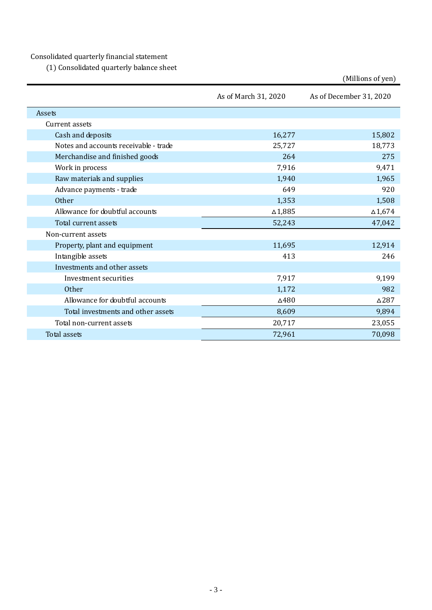Consolidated quarterly financial statement

(1) Consolidated quarterly balance sheet

|                                       |                      | (Millions of yen)       |
|---------------------------------------|----------------------|-------------------------|
|                                       | As of March 31, 2020 | As of December 31, 2020 |
| Assets                                |                      |                         |
| Current assets                        |                      |                         |
| Cash and deposits                     | 16,277               | 15,802                  |
| Notes and accounts receivable - trade | 25,727               | 18,773                  |
| Merchandise and finished goods        | 264                  | 275                     |
| Work in process                       | 7,916                | 9,471                   |
| Raw materials and supplies            | 1,940                | 1,965                   |
| Advance payments - trade              | 649                  | 920                     |
| Other                                 | 1,353                | 1,508                   |
| Allowance for doubtful accounts       | $\Delta 1,885$       | $\Delta 1,\!674$        |
| Total current assets                  | 52,243               | 47,042                  |
| Non-current assets                    |                      |                         |
| Property, plant and equipment         | 11,695               | 12,914                  |
| Intangible assets                     | 413                  | 246                     |
| Investments and other assets          |                      |                         |
| Investment securities                 | 7,917                | 9,199                   |
| Other                                 | 1,172                | 982                     |
| Allowance for doubtful accounts       | $\Delta 480$         | $\triangle$ 287         |
| Total investments and other assets    | 8,609                | 9,894                   |
| Total non-current assets              | 20,717               | 23,055                  |
| <b>Total assets</b>                   | 72,961               | 70,098                  |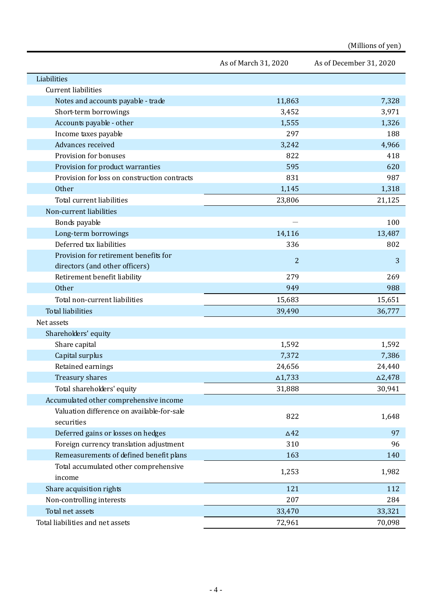# (Millions of yen)

|                                              | As of March 31, 2020 | As of December 31, 2020 |
|----------------------------------------------|----------------------|-------------------------|
| Liabilities                                  |                      |                         |
| <b>Current liabilities</b>                   |                      |                         |
| Notes and accounts payable - trade           | 11,863               | 7,328                   |
| Short-term borrowings                        | 3,452                | 3,971                   |
| Accounts payable - other                     | 1,555                | 1,326                   |
| Income taxes payable                         | 297                  | 188                     |
| Advances received                            | 3,242                | 4,966                   |
| Provision for bonuses                        | 822                  | 418                     |
| Provision for product warranties             | 595                  | 620                     |
| Provision for loss on construction contracts | 831                  | 987                     |
| Other                                        | 1,145                | 1,318                   |
| Total current liabilities                    | 23,806               | 21,125                  |
| Non-current liabilities                      |                      |                         |
| Bonds payable                                |                      | 100                     |
| Long-term borrowings                         | 14,116               | 13,487                  |
| Deferred tax liabilities                     | 336                  | 802                     |
| Provision for retirement benefits for        |                      |                         |
| directors (and other officers)               | $\overline{2}$       | 3                       |
| Retirement benefit liability                 | 279                  | 269                     |
| <b>Other</b>                                 | 949                  | 988                     |
| Total non-current liabilities                | 15,683               | 15,651                  |
| <b>Total liabilities</b>                     | 39,490               | 36,777                  |
| Net assets                                   |                      |                         |
| Shareholders' equity                         |                      |                         |
| Share capital                                | 1,592                | 1,592                   |
| Capital surplus                              | 7,372                | 7,386                   |
| Retained earnings                            | 24,656               | 24,440                  |
| <b>Treasury shares</b>                       | $\Delta$ 1,733       | $\Delta$ 2,478          |
| Total shareholders' equity                   | 31,888               | 30,941                  |
| Accumulated other comprehensive income       |                      |                         |
| Valuation difference on available-for-sale   | 822                  | 1,648                   |
| securities                                   |                      |                         |
| Deferred gains or losses on hedges           | $\triangle$ 42       | 97                      |
| Foreign currency translation adjustment      | 310                  | 96                      |
| Remeasurements of defined benefit plans      | 163                  | 140                     |
| Total accumulated other comprehensive        | 1,253                | 1,982                   |
| income                                       |                      |                         |
| Share acquisition rights                     | 121                  | 112                     |
| Non-controlling interests                    | 207                  | 284                     |
| Total net assets                             | 33,470               | 33,321                  |
| Total liabilities and net assets             | 72,961               | 70,098                  |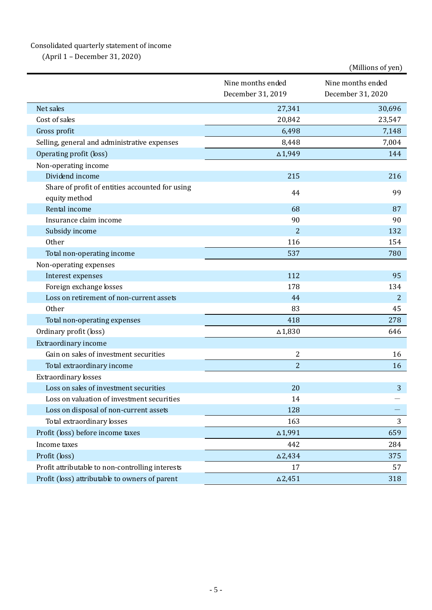## Consolidated quarterly statement of income

(April 1 – December 31, 2020)

|                                                                  |                   | (Millions of yen) |
|------------------------------------------------------------------|-------------------|-------------------|
|                                                                  | Nine months ended | Nine months ended |
|                                                                  | December 31, 2019 | December 31, 2020 |
| Net sales                                                        | 27,341            | 30,696            |
| Cost of sales                                                    | 20,842            | 23,547            |
| Gross profit                                                     | 6,498             | 7,148             |
| Selling, general and administrative expenses                     | 8,448             | 7,004             |
| Operating profit (loss)                                          | $\Delta$ 1,949    | 144               |
| Non-operating income                                             |                   |                   |
| Dividend income                                                  | 215               | 216               |
| Share of profit of entities accounted for using<br>equity method | 44                | 99                |
| Rental income                                                    | 68                | 87                |
| Insurance claim income                                           | 90                | 90                |
| Subsidy income                                                   | $\overline{2}$    | 132               |
| Other                                                            | 116               | 154               |
| Total non-operating income                                       | 537               | 780               |
| Non-operating expenses                                           |                   |                   |
| Interest expenses                                                | 112               | 95                |
| Foreign exchange losses                                          | 178               | 134               |
| Loss on retirement of non-current assets                         | 44                | 2                 |
| Other                                                            | 83                | 45                |
| Total non-operating expenses                                     | 418               | 278               |
| Ordinary profit (loss)                                           | $\triangle$ 1,830 | 646               |
| Extraordinary income                                             |                   |                   |
| Gain on sales of investment securities                           | 2                 | 16                |
| Total extraordinary income                                       | $\overline{2}$    | 16                |
| Extraordinary losses                                             |                   |                   |
| Loss on sales of investment securities                           | 20                | 3                 |
| Loss on valuation of investment securities                       | 14                |                   |
| Loss on disposal of non-current assets                           | 128               |                   |
| Total extraordinary losses                                       | 163               | 3                 |
| Profit (loss) before income taxes                                | $\Delta$ 1,991    | 659               |
| Income taxes                                                     | 442               | 284               |
| Profit (loss)                                                    | $\Delta$ 2,434    | 375               |
| Profit attributable to non-controlling interests                 | 17                | 57                |
| Profit (loss) attributable to owners of parent                   | $\Delta 2,451$    | 318               |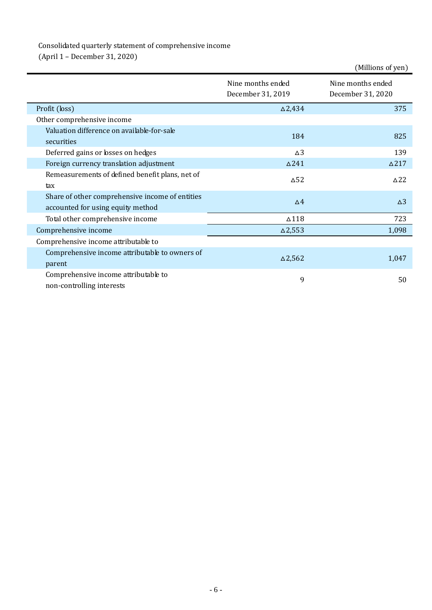# Consolidated quarterly statement of comprehensive income

(April 1 – December 31, 2020)

|                                                                                      |                                        | (Millions of yen)                      |
|--------------------------------------------------------------------------------------|----------------------------------------|----------------------------------------|
|                                                                                      | Nine months ended<br>December 31, 2019 | Nine months ended<br>December 31, 2020 |
| Profit (loss)                                                                        | $\Delta$ 2,434                         | 375                                    |
| Other comprehensive income                                                           |                                        |                                        |
| Valuation difference on available-for-sale<br>securities                             | 184                                    | 825                                    |
|                                                                                      | $\Delta$ 3                             |                                        |
| Deferred gains or losses on hedges                                                   |                                        | 139                                    |
| Foreign currency translation adjustment                                              | $\Delta$ 241                           | $\triangle$ 217                        |
| Remeasurements of defined benefit plans, net of<br>tax                               | $\triangle$ 52                         | $\triangle$ 22                         |
| Share of other comprehensive income of entities<br>accounted for using equity method | $\Delta$ <sup>4</sup>                  | $\Delta$ 3                             |
| Total other comprehensive income                                                     | $\Delta 118$                           | 723                                    |
| Comprehensive income                                                                 | $\Delta$ 2,553                         | 1,098                                  |
| Comprehensive income attributable to                                                 |                                        |                                        |
| Comprehensive income attributable to owners of<br>parent                             | $\Delta$ 2,562                         | 1,047                                  |
| Comprehensive income attributable to<br>non-controlling interests                    | 9                                      | 50                                     |